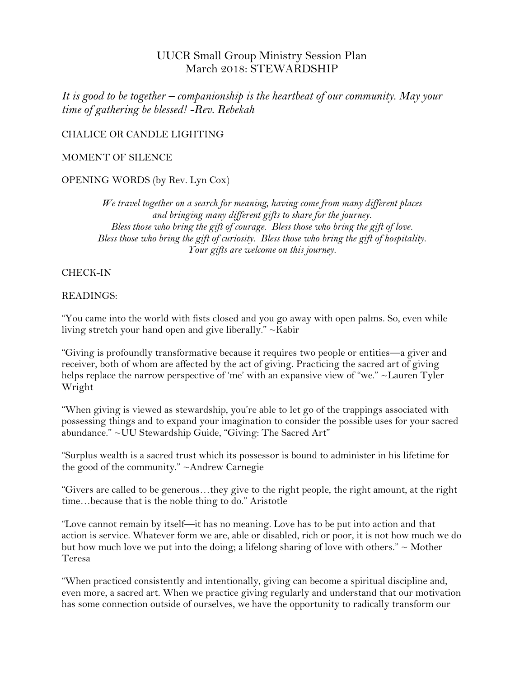# UUCR Small Group Ministry Session Plan March 2018: STEWARDSHIP

*It is good to be together – companionship is the heartbeat of our community. May your time of gathering be blessed! -Rev. Rebekah*

CHALICE OR CANDLE LIGHTING

#### MOMENT OF SILENCE

## OPENING WORDS (by Rev. Lyn Cox)

*We travel together on a search for meaning, having come from many different places and bringing many different gifts to share for the journey. Bless those who bring the gift of courage. Bless those who bring the gift of love. Bless those who bring the gift of curiosity. Bless those who bring the gift of hospitality. Your gifts are welcome on this journey.*

## CHECK-IN

#### READINGS:

"You came into the world with fists closed and you go away with open palms. So, even while living stretch your hand open and give liberally." ~Kabir

"Giving is profoundly transformative because it requires two people or entities—a giver and receiver, both of whom are affected by the act of giving. Practicing the sacred art of giving helps replace the narrow perspective of 'me' with an expansive view of "we." ~Lauren Tyler Wright

"When giving is viewed as stewardship, you're able to let go of the trappings associated with possessing things and to expand your imagination to consider the possible uses for your sacred abundance." ~UU Stewardship Guide, "Giving: The Sacred Art"

"Surplus wealth is a sacred trust which its possessor is bound to administer in his lifetime for the good of the community." ~Andrew Carnegie

"Givers are called to be generous…they give to the right people, the right amount, at the right time…because that is the noble thing to do." Aristotle

"Love cannot remain by itself—it has no meaning. Love has to be put into action and that action is service. Whatever form we are, able or disabled, rich or poor, it is not how much we do but how much love we put into the doing; a lifelong sharing of love with others."  $\sim$  Mother Teresa

"When practiced consistently and intentionally, giving can become a spiritual discipline and, even more, a sacred art. When we practice giving regularly and understand that our motivation has some connection outside of ourselves, we have the opportunity to radically transform our